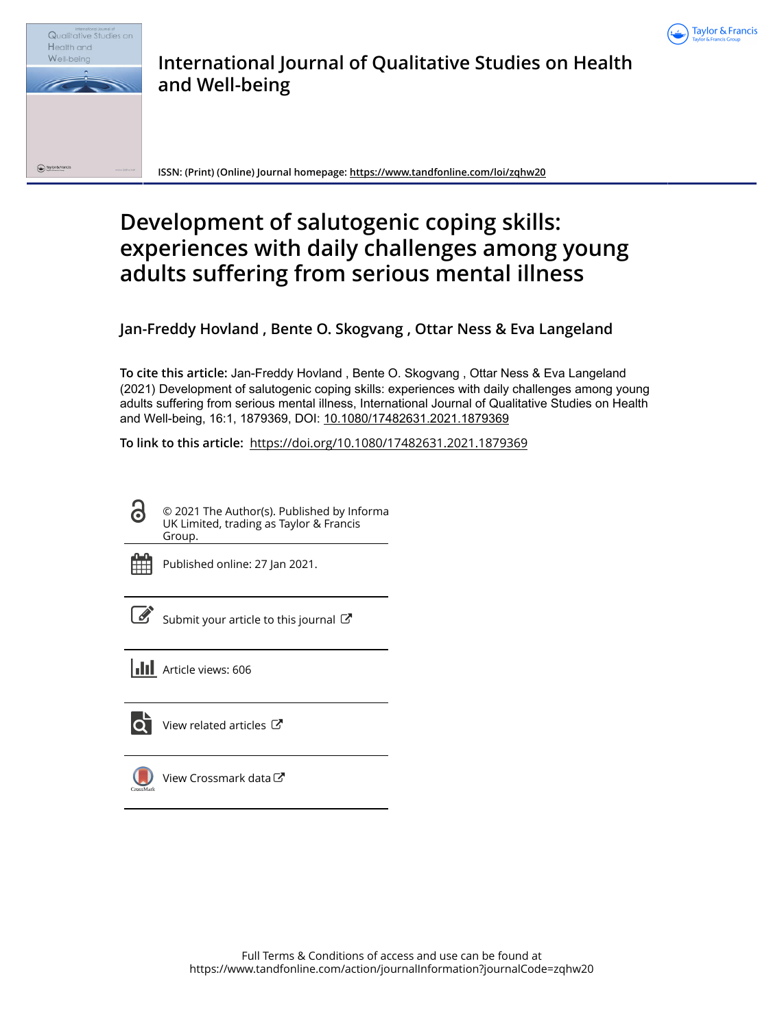



**International Journal of Qualitative Studies on Health and Well-being**

**ISSN: (Print) (Online) Journal homepage:<https://www.tandfonline.com/loi/zqhw20>**

# **Development of salutogenic coping skills: experiences with daily challenges among young adults suffering from serious mental illness**

**Jan-Freddy Hovland , Bente O. Skogvang , Ottar Ness & Eva Langeland**

**To cite this article:** Jan-Freddy Hovland , Bente O. Skogvang , Ottar Ness & Eva Langeland (2021) Development of salutogenic coping skills: experiences with daily challenges among young adults suffering from serious mental illness, International Journal of Qualitative Studies on Health and Well-being, 16:1, 1879369, DOI: [10.1080/17482631.2021.1879369](https://www.tandfonline.com/action/showCitFormats?doi=10.1080/17482631.2021.1879369)

**To link to this article:** <https://doi.org/10.1080/17482631.2021.1879369>



© 2021 The Author(s). Published by Informa UK Limited, trading as Taylor & Francis Group.



Published online: 27 Jan 2021.

[Submit your article to this journal](https://www.tandfonline.com/action/authorSubmission?journalCode=zqhw20&show=instructions)  $\mathbb{Z}$ 





[View related articles](https://www.tandfonline.com/doi/mlt/10.1080/17482631.2021.1879369) C



[View Crossmark data](http://crossmark.crossref.org/dialog/?doi=10.1080/17482631.2021.1879369&domain=pdf&date_stamp=2021-01-27)  $\mathbb{Z}$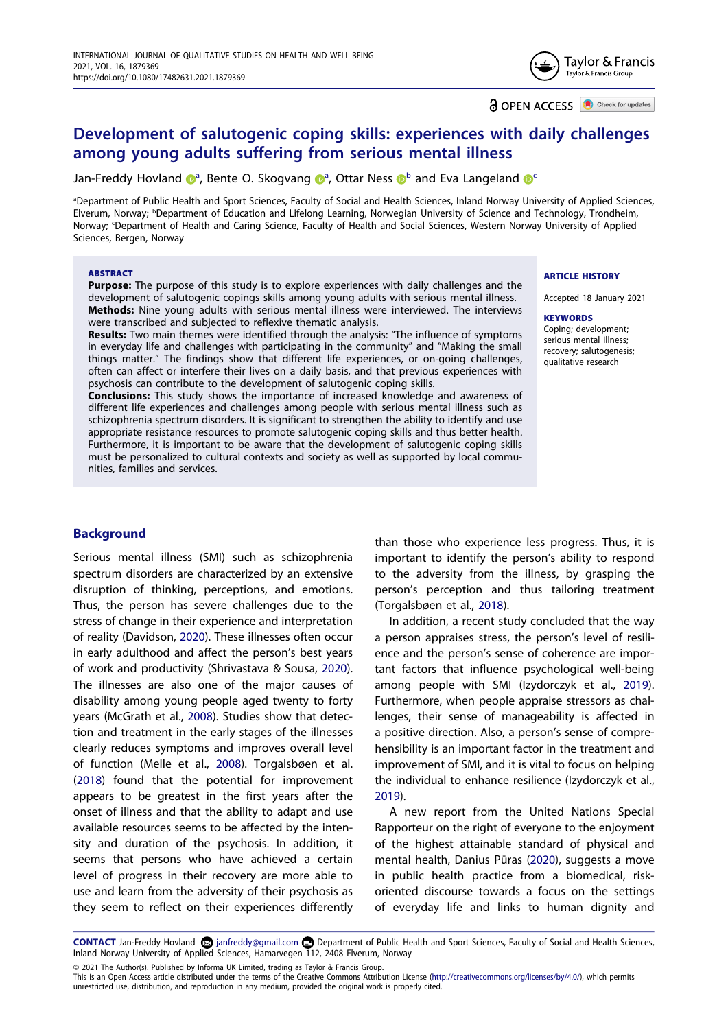

**a** OPEN ACCESS **a** Check for updates

# **Development of salutogenic coping skills: experiences with daily challenges among young adults suffering from serious mental illness**

Jan-Fre[d](http://orcid.org/0000-0003-3594-2877)dy Hovl[a](#page-1-0)nd @<sup>a</sup>, Bente O. Sko[g](http://orcid.org/0000-0001-5857-5235)vang @<[s](http://orcid.org/0000-0001-7322-2227)up>a</sup>, Ottar Ness ©<sup>[b](#page-1-1)</sup> and Eva Langeland **@**s

<span id="page-1-2"></span><span id="page-1-1"></span><span id="page-1-0"></span>a Department of Public Health and Sport Sciences, Faculty of Social and Health Sciences, Inland Norway University of Applied Sciences, Elverum, Norway; <sup>b</sup>Department of Education and Lifelong Learning, Norwegian University of Science and Technology, Trondheim, Norway; c Department of Health and Caring Science, Faculty of Health and Social Sciences, Western Norway University of Applied Sciences, Bergen, Norway

#### **ABSTRACT**

**Purpose:** The purpose of this study is to explore experiences with daily challenges and the development of salutogenic copings skills among young adults with serious mental illness. **Methods:** Nine young adults with serious mental illness were interviewed. The interviews were transcribed and subjected to reflexive thematic analysis.

**Results:** Two main themes were identified through the analysis: "The influence of symptoms in everyday life and challenges with participating in the community" and "Making the small things matter." The findings show that different life experiences, or on-going challenges, often can affect or interfere their lives on a daily basis, and that previous experiences with psychosis can contribute to the development of salutogenic coping skills.

**Conclusions:** This study shows the importance of increased knowledge and awareness of different life experiences and challenges among people with serious mental illness such as schizophrenia spectrum disorders. It is significant to strengthen the ability to identify and use appropriate resistance resources to promote salutogenic coping skills and thus better health. Furthermore, it is important to be aware that the development of salutogenic coping skills must be personalized to cultural contexts and society as well as supported by local communities, families and services.

#### **ARTICLE HISTORY**

Accepted 18 January 2021

**KEYWORDS** Coping; development; serious mental illness; recovery; salutogenesis; qualitative research

# **Background**

<span id="page-1-8"></span><span id="page-1-5"></span><span id="page-1-3"></span>Serious mental illness (SMI) such as schizophrenia spectrum disorders are characterized by an extensive disruption of thinking, perceptions, and emotions. Thus, the person has severe challenges due to the stress of change in their experience and interpretation of reality (Davidson, [2020\)](#page-10-0). These illnesses often occur in early adulthood and affect the person's best years of work and productivity (Shrivastava & Sousa, [2020\)](#page-11-0). The illnesses are also one of the major causes of disability among young people aged twenty to forty years (McGrath et al., [2008\)](#page-11-1). Studies show that detection and treatment in the early stages of the illnesses clearly reduces symptoms and improves overall level of function (Melle et al., [2008](#page-11-2)). Torgalsbøen et al. ([2018](#page-11-3)) found that the potential for improvement appears to be greatest in the first years after the onset of illness and that the ability to adapt and use available resources seems to be affected by the intensity and duration of the psychosis. In addition, it seems that persons who have achieved a certain level of progress in their recovery are more able to use and learn from the adversity of their psychosis as they seem to reflect on their experiences differently than those who experience less progress. Thus, it is important to identify the person's ability to respond to the adversity from the illness, by grasping the person's perception and thus tailoring treatment (Torgalsbøen et al., [2018\)](#page-11-3).

<span id="page-1-9"></span>In addition, a recent study concluded that the way a person appraises stress, the person's level of resilience and the person's sense of coherence are important factors that influence psychological well-being among people with SMI (Izydorczyk et al., [2019](#page-10-1)). Furthermore, when people appraise stressors as challenges, their sense of manageability is affected in a positive direction. Also, a person's sense of comprehensibility is an important factor in the treatment and improvement of SMI, and it is vital to focus on helping the individual to enhance resilience (Izydorczyk et al., [2019](#page-10-1)).

<span id="page-1-7"></span><span id="page-1-4"></span>A new report from the United Nations Special Rapporteur on the right of everyone to the enjoyment of the highest attainable standard of physical and mental health, Danius Pūras ([2020](#page-11-4)), suggests a move in public health practice from a biomedical, riskoriented discourse towards a focus on the settings of everyday life and links to human dignity and

<span id="page-1-6"></span>CONTACT Jan-Freddy Hovland a janfreddy@gmail.com **D** Department of Public Health and Sport Sciences, Faculty of Social and Health Sciences, Inland Norway University of Applied Sciences, Hamarvegen 112, 2408 Elverum, Norway

© 2021 The Author(s). Published by Informa UK Limited, trading as Taylor & Francis Group.

This is an Open Access article distributed under the terms of the Creative Commons Attribution License (http://creativecommons.org/licenses/by/4.0/), which permits unrestricted use, distribution, and reproduction in any medium, provided the original work is properly cited.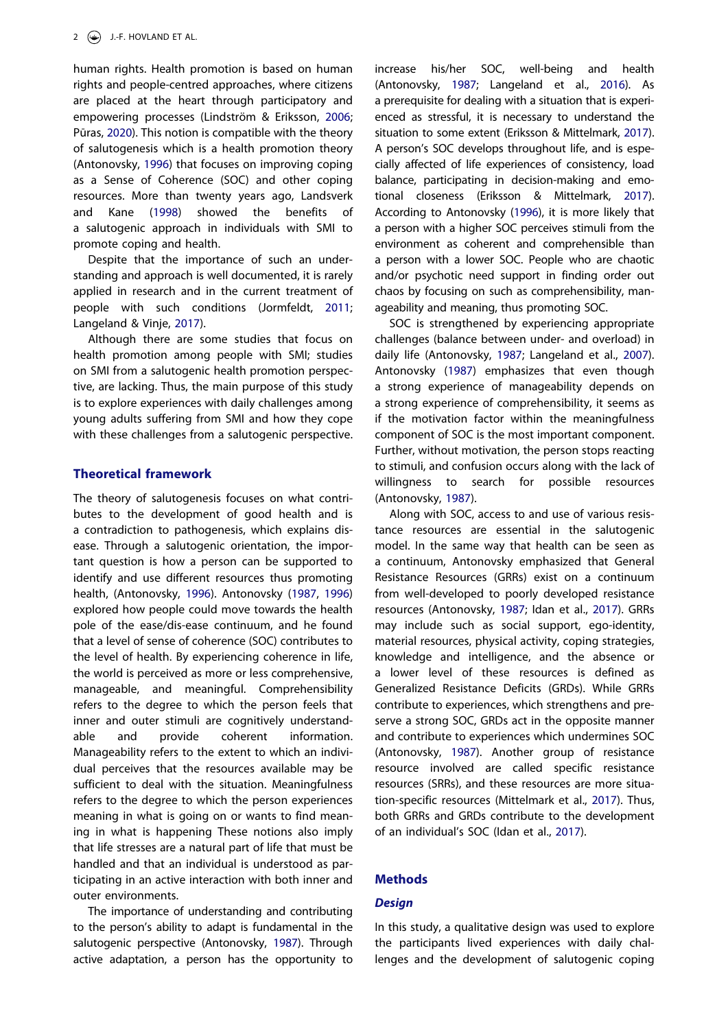<span id="page-2-6"></span>human rights. Health promotion is based on human rights and people-centred approaches, where citizens are placed at the heart through participatory and empowering processes (Lindström & Eriksson, [2006;](#page-11-5) Pūras, [2020\)](#page-11-4). This notion is compatible with the theory of salutogenesis which is a health promotion theory (Antonovsky, [1996](#page-10-2)) that focuses on improving coping as a Sense of Coherence (SOC) and other coping resources. More than twenty years ago, Landsverk and Kane [\(1998\)](#page-10-3) showed the benefits of a salutogenic approach in individuals with SMI to promote coping and health.

<span id="page-2-3"></span>Despite that the importance of such an understanding and approach is well documented, it is rarely applied in research and in the current treatment of people with such conditions (Jormfeldt, [2011;](#page-10-4) Langeland & Vinje, [2017\)](#page-10-5).

<span id="page-2-2"></span>Although there are some studies that focus on health promotion among people with SMI; studies on SMI from a salutogenic health promotion perspective, are lacking. Thus, the main purpose of this study is to explore experiences with daily challenges among young adults suffering from SMI and how they cope with these challenges from a salutogenic perspective.

# **Theoretical framework**

The theory of salutogenesis focuses on what contributes to the development of good health and is a contradiction to pathogenesis, which explains disease. Through a salutogenic orientation, the important question is how a person can be supported to identify and use different resources thus promoting health, (Antonovsky, [1996](#page-10-2)). Antonovsky [\(1987,](#page-10-6) [1996\)](#page-10-2) explored how people could move towards the health pole of the ease/dis-ease continuum, and he found that a level of sense of coherence (SOC) contributes to the level of health. By experiencing coherence in life, the world is perceived as more or less comprehensive, manageable, and meaningful. Comprehensibility refers to the degree to which the person feels that inner and outer stimuli are cognitively understandable and provide coherent information. Manageability refers to the extent to which an individual perceives that the resources available may be sufficient to deal with the situation. Meaningfulness refers to the degree to which the person experiences meaning in what is going on or wants to find meaning in what is happening These notions also imply that life stresses are a natural part of life that must be handled and that an individual is understood as participating in an active interaction with both inner and outer environments.

The importance of understanding and contributing to the person's ability to adapt is fundamental in the salutogenic perspective (Antonovsky, [1987\)](#page-10-6). Through active adaptation, a person has the opportunity to <span id="page-2-4"></span>increase his/her SOC, well-being and health (Antonovsky, [1987;](#page-10-6) Langeland et al., [2016](#page-10-7)). As a prerequisite for dealing with a situation that is experienced as stressful, it is necessary to understand the situation to some extent (Eriksson & Mittelmark, [2017](#page-10-8)). A person's SOC develops throughout life, and is especially affected of life experiences of consistency, load balance, participating in decision-making and emotional closeness (Eriksson & Mittelmark, [2017](#page-10-8)). According to Antonovsky [\(1996](#page-10-2)), it is more likely that a person with a higher SOC perceives stimuli from the environment as coherent and comprehensible than a person with a lower SOC. People who are chaotic and/or psychotic need support in finding order out chaos by focusing on such as comprehensibility, manageability and meaning, thus promoting SOC.

<span id="page-2-5"></span><span id="page-2-1"></span>SOC is strengthened by experiencing appropriate challenges (balance between under- and overload) in daily life (Antonovsky, [1987](#page-10-6); Langeland et al., [2007](#page-10-9)). Antonovsky [\(1987\)](#page-10-6) emphasizes that even though a strong experience of manageability depends on a strong experience of comprehensibility, it seems as if the motivation factor within the meaningfulness component of SOC is the most important component. Further, without motivation, the person stops reacting to stimuli, and confusion occurs along with the lack of willingness to search for possible resources (Antonovsky, [1987](#page-10-6)).

Along with SOC, access to and use of various resistance resources are essential in the salutogenic model. In the same way that health can be seen as a continuum, Antonovsky emphasized that General Resistance Resources (GRRs) exist on a continuum from well-developed to poorly developed resistance resources (Antonovsky, [1987](#page-10-6); Idan et al., [2017](#page-10-10)). GRRs may include such as social support, ego-identity, material resources, physical activity, coping strategies, knowledge and intelligence, and the absence or a lower level of these resources is defined as Generalized Resistance Deficits (GRDs). While GRRs contribute to experiences, which strengthens and preserve a strong SOC, GRDs act in the opposite manner and contribute to experiences which undermines SOC (Antonovsky, [1987](#page-10-6)). Another group of resistance resource involved are called specific resistance resources (SRRs), and these resources are more situation-specific resources (Mittelmark et al., [2017\)](#page-11-6). Thus, both GRRs and GRDs contribute to the development of an individual's SOC (Idan et al., [2017\)](#page-10-10).

#### <span id="page-2-0"></span>**Methods**

#### *Design*

In this study, a qualitative design was used to explore the participants lived experiences with daily challenges and the development of salutogenic coping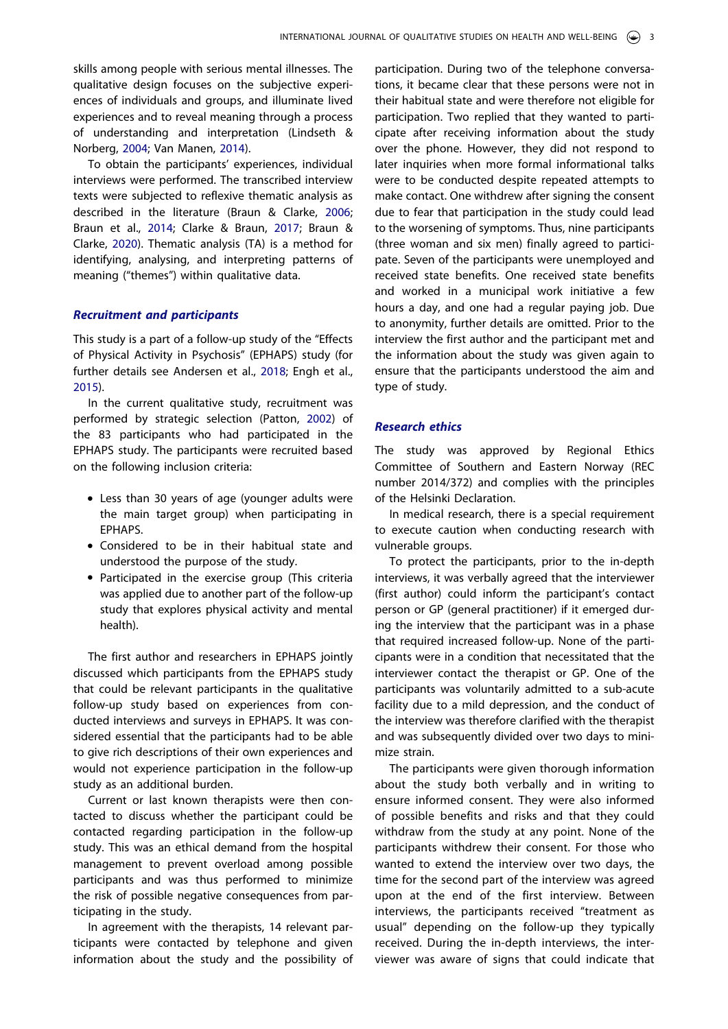skills among people with serious mental illnesses. The qualitative design focuses on the subjective experiences of individuals and groups, and illuminate lived experiences and to reveal meaning through a process of understanding and interpretation (Lindseth & Norberg, [2004;](#page-11-7) Van Manen, [2014](#page-11-8)).

<span id="page-3-4"></span><span id="page-3-3"></span><span id="page-3-2"></span><span id="page-3-1"></span>To obtain the participants' experiences, individual interviews were performed. The transcribed interview texts were subjected to reflexive thematic analysis as described in the literature (Braun & Clarke, [2006;](#page-10-11) Braun et al., [2014](#page-10-12); Clarke & Braun, [2017;](#page-10-13) Braun & Clarke, [2020](#page-10-14)). Thematic analysis (TA) is a method for identifying, analysing, and interpreting patterns of meaning ("themes") within qualitative data.

# *Recruitment and participants*

<span id="page-3-0"></span>This study is a part of a follow-up study of the "Effects of Physical Activity in Psychosis" (EPHAPS) study (for further details see Andersen et al., [2018;](#page-10-15) Engh et al., [2015\)](#page-10-16).

<span id="page-3-5"></span>In the current qualitative study, recruitment was performed by strategic selection (Patton, [2002](#page-11-9)) of the 83 participants who had participated in the EPHAPS study. The participants were recruited based on the following inclusion criteria:

- Less than 30 years of age (younger adults were the main target group) when participating in EPHAPS.
- Considered to be in their habitual state and understood the purpose of the study.
- Participated in the exercise group (This criteria was applied due to another part of the follow-up study that explores physical activity and mental health).

The first author and researchers in EPHAPS jointly discussed which participants from the EPHAPS study that could be relevant participants in the qualitative follow-up study based on experiences from conducted interviews and surveys in EPHAPS. It was considered essential that the participants had to be able to give rich descriptions of their own experiences and would not experience participation in the follow-up study as an additional burden.

Current or last known therapists were then contacted to discuss whether the participant could be contacted regarding participation in the follow-up study. This was an ethical demand from the hospital management to prevent overload among possible participants and was thus performed to minimize the risk of possible negative consequences from participating in the study.

In agreement with the therapists, 14 relevant participants were contacted by telephone and given information about the study and the possibility of

participation. During two of the telephone conversations, it became clear that these persons were not in their habitual state and were therefore not eligible for participation. Two replied that they wanted to participate after receiving information about the study over the phone. However, they did not respond to later inquiries when more formal informational talks were to be conducted despite repeated attempts to make contact. One withdrew after signing the consent due to fear that participation in the study could lead to the worsening of symptoms. Thus, nine participants (three woman and six men) finally agreed to participate. Seven of the participants were unemployed and received state benefits. One received state benefits and worked in a municipal work initiative a few hours a day, and one had a regular paying job. Due to anonymity, further details are omitted. Prior to the interview the first author and the participant met and the information about the study was given again to ensure that the participants understood the aim and type of study.

#### *Research ethics*

The study was approved by Regional Ethics Committee of Southern and Eastern Norway (REC number 2014/372) and complies with the principles of the Helsinki Declaration.

In medical research, there is a special requirement to execute caution when conducting research with vulnerable groups.

To protect the participants, prior to the in-depth interviews, it was verbally agreed that the interviewer (first author) could inform the participant's contact person or GP (general practitioner) if it emerged during the interview that the participant was in a phase that required increased follow-up. None of the participants were in a condition that necessitated that the interviewer contact the therapist or GP. One of the participants was voluntarily admitted to a sub-acute facility due to a mild depression, and the conduct of the interview was therefore clarified with the therapist and was subsequently divided over two days to minimize strain.

The participants were given thorough information about the study both verbally and in writing to ensure informed consent. They were also informed of possible benefits and risks and that they could withdraw from the study at any point. None of the participants withdrew their consent. For those who wanted to extend the interview over two days, the time for the second part of the interview was agreed upon at the end of the first interview. Between interviews, the participants received "treatment as usual" depending on the follow-up they typically received. During the in-depth interviews, the interviewer was aware of signs that could indicate that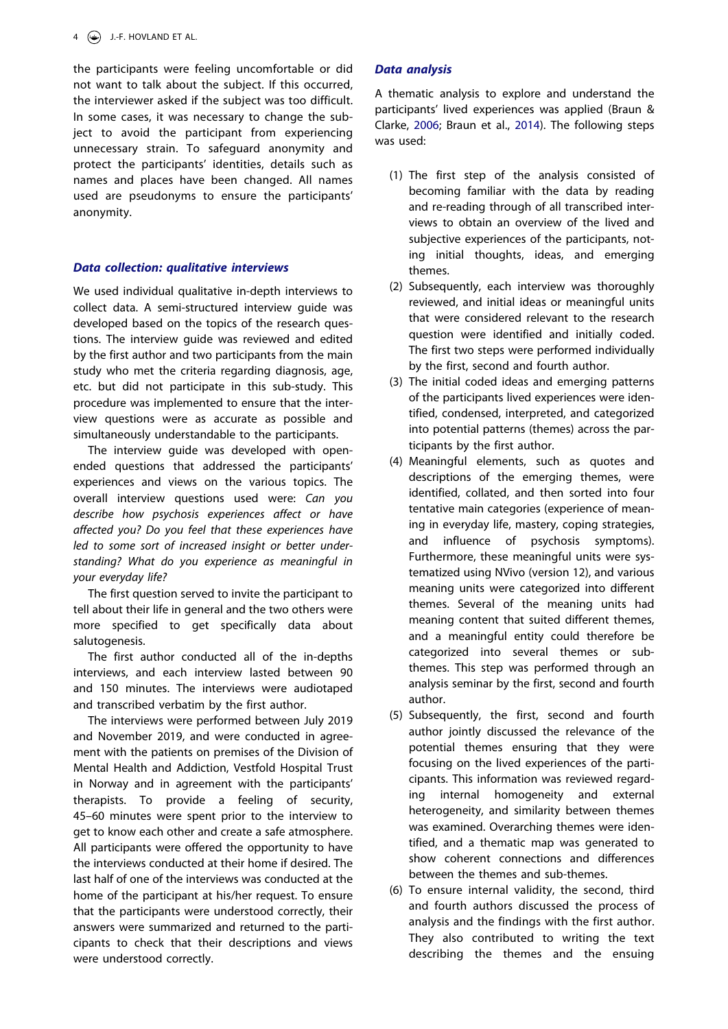the participants were feeling uncomfortable or did not want to talk about the subject. If this occurred, the interviewer asked if the subject was too difficult. In some cases, it was necessary to change the subject to avoid the participant from experiencing unnecessary strain. To safeguard anonymity and protect the participants' identities, details such as names and places have been changed. All names used are pseudonyms to ensure the participants' anonymity.

# *Data collection: qualitative interviews*

We used individual qualitative in-depth interviews to collect data. A semi-structured interview guide was developed based on the topics of the research questions. The interview guide was reviewed and edited by the first author and two participants from the main study who met the criteria regarding diagnosis, age, etc. but did not participate in this sub-study. This procedure was implemented to ensure that the interview questions were as accurate as possible and simultaneously understandable to the participants.

The interview guide was developed with openended questions that addressed the participants' experiences and views on the various topics. The overall interview questions used were: *Can you describe how psychosis experiences affect or have affected you? Do you feel that these experiences have led to some sort of increased insight or better understanding? What do you experience as meaningful in your everyday life?*

The first question served to invite the participant to tell about their life in general and the two others were more specified to get specifically data about salutogenesis.

The first author conducted all of the in-depths interviews, and each interview lasted between 90 and 150 minutes. The interviews were audiotaped and transcribed verbatim by the first author.

The interviews were performed between July 2019 and November 2019, and were conducted in agreement with the patients on premises of the Division of Mental Health and Addiction, Vestfold Hospital Trust in Norway and in agreement with the participants' therapists. To provide a feeling of security, 45–60 minutes were spent prior to the interview to get to know each other and create a safe atmosphere. All participants were offered the opportunity to have the interviews conducted at their home if desired. The last half of one of the interviews was conducted at the home of the participant at his/her request. To ensure that the participants were understood correctly, their answers were summarized and returned to the participants to check that their descriptions and views were understood correctly.

# *Data analysis*

A thematic analysis to explore and understand the participants' lived experiences was applied (Braun & Clarke, [2006](#page-10-11); Braun et al., [2014\)](#page-10-12). The following steps was used:

- (1) The first step of the analysis consisted of becoming familiar with the data by reading and re-reading through of all transcribed interviews to obtain an overview of the lived and subjective experiences of the participants, noting initial thoughts, ideas, and emerging themes.
- (2) Subsequently, each interview was thoroughly reviewed, and initial ideas or meaningful units that were considered relevant to the research question were identified and initially coded. The first two steps were performed individually by the first, second and fourth author.
- (3) The initial coded ideas and emerging patterns of the participants lived experiences were identified, condensed, interpreted, and categorized into potential patterns (themes) across the participants by the first author.
- (4) Meaningful elements, such as quotes and descriptions of the emerging themes, were identified, collated, and then sorted into four tentative main categories (experience of meaning in everyday life, mastery, coping strategies, and influence of psychosis symptoms). Furthermore, these meaningful units were systematized using NVivo (version 12), and various meaning units were categorized into different themes. Several of the meaning units had meaning content that suited different themes, and a meaningful entity could therefore be categorized into several themes or subthemes. This step was performed through an analysis seminar by the first, second and fourth author.
- (5) Subsequently, the first, second and fourth author jointly discussed the relevance of the potential themes ensuring that they were focusing on the lived experiences of the participants. This information was reviewed regarding internal homogeneity and external heterogeneity, and similarity between themes was examined. Overarching themes were identified, and a thematic map was generated to show coherent connections and differences between the themes and sub-themes.
- (6) To ensure internal validity, the second, third and fourth authors discussed the process of analysis and the findings with the first author. They also contributed to writing the text describing the themes and the ensuing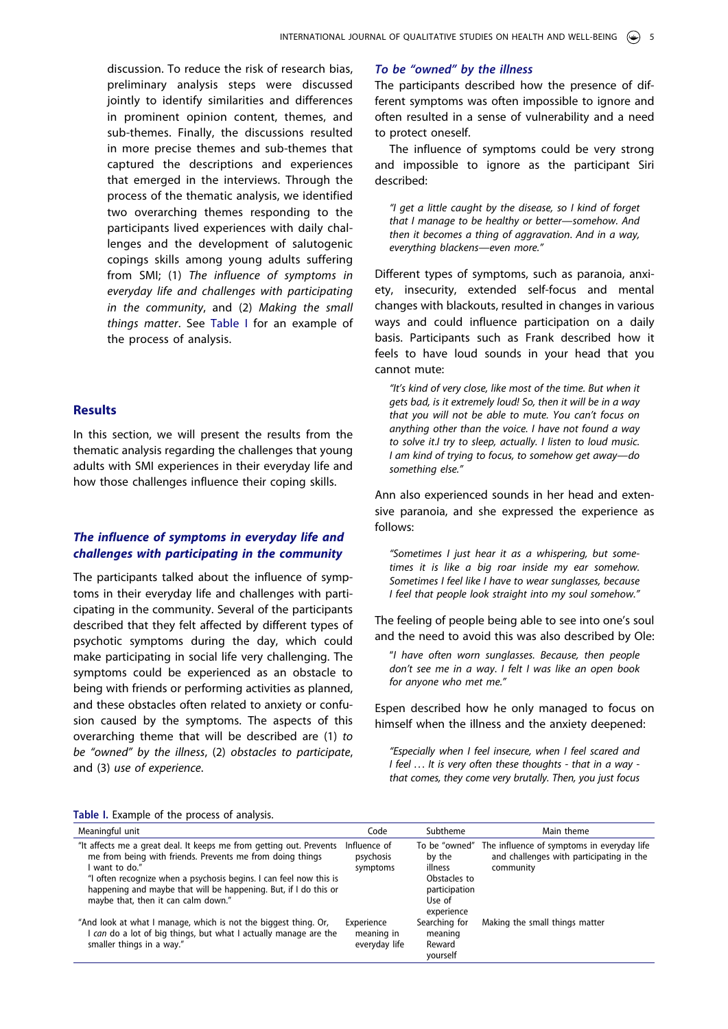discussion. To reduce the risk of research bias, preliminary analysis steps were discussed jointly to identify similarities and differences in prominent opinion content, themes, and sub-themes. Finally, the discussions resulted in more precise themes and sub-themes that captured the descriptions and experiences that emerged in the interviews. Through the process of the thematic analysis, we identified two overarching themes responding to the participants lived experiences with daily challenges and the development of salutogenic copings skills among young adults suffering from SMI; (1) *The influence of symptoms in everyday life and challenges with participating in the community*, and (2) *Making the small things matter*. See [Table I](#page-5-0) for an example of the process of analysis.

# **Results**

In this section, we will present the results from the thematic analysis regarding the challenges that young adults with SMI experiences in their everyday life and how those challenges influence their coping skills.

# *The influence of symptoms in everyday life and challenges with participating in the community*

The participants talked about the influence of symptoms in their everyday life and challenges with participating in the community. Several of the participants described that they felt affected by different types of psychotic symptoms during the day, which could make participating in social life very challenging. The symptoms could be experienced as an obstacle to being with friends or performing activities as planned, and these obstacles often related to anxiety or confusion caused by the symptoms. The aspects of this overarching theme that will be described are (1) *to be "owned" by the illness*, (2) *obstacles to participate*, and (3) *use of experience*.

# *To be "owned" by the illness*

The participants described how the presence of different symptoms was often impossible to ignore and often resulted in a sense of vulnerability and a need to protect oneself.

The influence of symptoms could be very strong and impossible to ignore as the participant Siri described:

*"I get a little caught by the disease, so I kind of forget that I manage to be healthy or better—somehow. And then it becomes a thing of aggravation*. *And in a way, everything blackens—even more."* 

Different types of symptoms, such as paranoia, anxiety, insecurity, extended self-focus and mental changes with blackouts, resulted in changes in various ways and could influence participation on a daily basis. Participants such as Frank described how it feels to have loud sounds in your head that you cannot mute:

*"It's kind of very close, like most of the time. But when it gets bad, is it extremely loud! So, then it will be in a way that you will not be able to mute. You can't focus on anything other than the voice. I have not found a way to solve it*.*I try to sleep, actually. I listen to loud music. I am kind of trying to focus, to somehow get away—do something else."* 

Ann also experienced sounds in her head and extensive paranoia, and she expressed the experience as follows:

*"Sometimes I just hear it as a whispering, but sometimes it is like a big roar inside my ear somehow. Sometimes I feel like I have to wear sunglasses, because I feel that people look straight into my soul somehow."* 

The feeling of people being able to see into one's soul and the need to avoid this was also described by Ole:

"*I have often worn sunglasses. Because, then people don't see me in a way*. *I felt I was like an open book for anyone who met me."* 

Espen described how he only managed to focus on himself when the illness and the anxiety deepened:

*"Especially when I feel insecure, when I feel scared and I feel . . . It is very often these thoughts - that in a way that comes, they come very brutally. Then, you just focus* 

#### <span id="page-5-0"></span>**Table I.** Example of the process of analysis.

| Meaningful unit                                                                                                                                                                                                                                                                                                                   | Code                                      | Subtheme                                                                                    | Main theme                                                                                          |
|-----------------------------------------------------------------------------------------------------------------------------------------------------------------------------------------------------------------------------------------------------------------------------------------------------------------------------------|-------------------------------------------|---------------------------------------------------------------------------------------------|-----------------------------------------------------------------------------------------------------|
| "It affects me a great deal. It keeps me from getting out. Prevents<br>me from being with friends. Prevents me from doing things<br>want to do."<br>"I often recognize when a psychosis begins. I can feel now this is<br>happening and maybe that will be happening. But, if I do this or<br>maybe that, then it can calm down." | Influence of<br>psychosis<br>symptoms     | To be "owned"<br>by the<br>illness<br>Obstacles to<br>participation<br>Use of<br>experience | The influence of symptoms in everyday life<br>and challenges with participating in the<br>community |
| "And look at what I manage, which is not the biggest thing. Or,<br>can do a lot of big things, but what I actually manage are the<br>smaller things in a way."                                                                                                                                                                    | Experience<br>meaning in<br>everyday life | Searching for<br>meaning<br>Reward<br>yourself                                              | Making the small things matter                                                                      |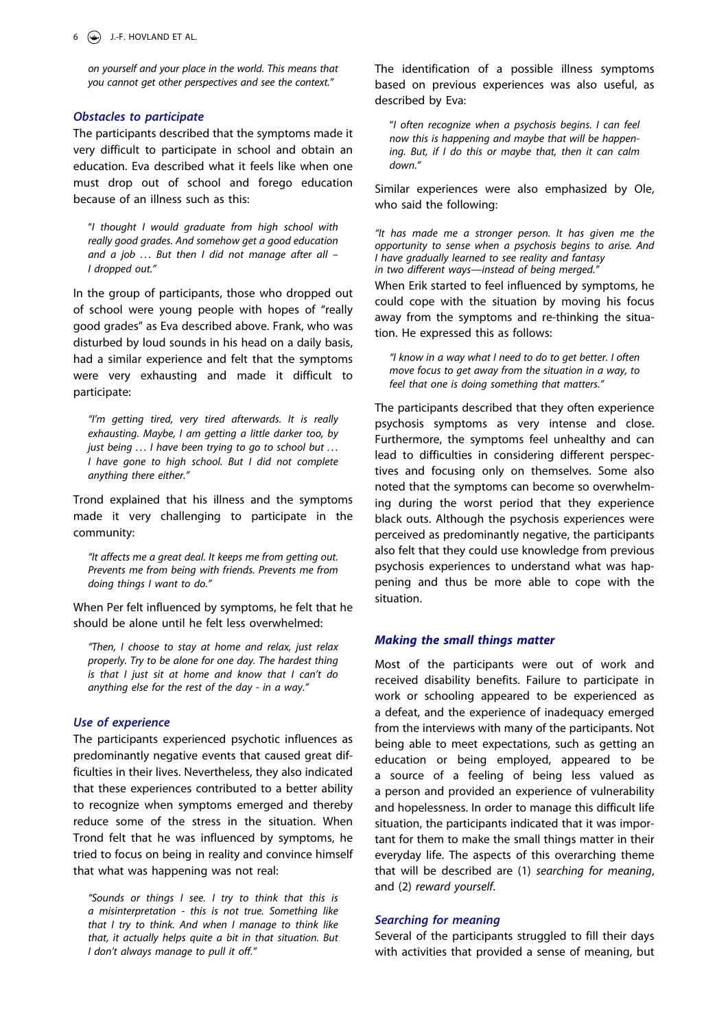*on yourself and your place in the world. This means that you cannot get other perspectives and see the context."* 

#### *Obstacles to participate*

The participants described that the symptoms made it very difficult to participate in school and obtain an education. Eva described what it feels like when one must drop out of school and forego education because of an illness such as this:

"*I thought I would graduate from high school with really good grades. And somehow get a good education and a job . . . But then I did not manage after all – I dropped out."* 

In the group of participants, those who dropped out of school were young people with hopes of "really good grades" as Eva described above. Frank, who was disturbed by loud sounds in his head on a daily basis, had a similar experience and felt that the symptoms were very exhausting and made it difficult to participate:

*"I'm getting tired, very tired afterwards. It is really exhausting. Maybe, I am getting a little darker too, by just being . . . I have been trying to go to school but . . . I have gone to high school. But I did not complete anything there either."* 

Trond explained that his illness and the symptoms made it very challenging to participate in the community:

*"It affects me a great deal. It keeps me from getting out. Prevents me from being with friends. Prevents me from doing things I want to do."* 

When Per felt influenced by symptoms, he felt that he should be alone until he felt less overwhelmed:

*"Then, I choose to stay at home and relax, just relax properly. Try to be alone for one day. The hardest thing is that I just sit at home and know that I can't do anything else for the rest of the day - in a way."* 

#### *Use of experience*

The participants experienced psychotic influences as predominantly negative events that caused great difficulties in their lives. Nevertheless, they also indicated that these experiences contributed to a better ability to recognize when symptoms emerged and thereby reduce some of the stress in the situation. When Trond felt that he was influenced by symptoms, he tried to focus on being in reality and convince himself that what was happening was not real:

*"Sounds or things I see. I try to think that this is a misinterpretation - this is not true. Something like that I try to think. And when I manage to think like that, it actually helps quite a bit in that situation. But I don't always manage to pull it off."* 

The identification of a possible illness symptoms based on previous experiences was also useful, as described by Eva:

"*I often recognize when a psychosis begins. I can feel now this is happening and maybe that will be happening. But, if I do this or maybe that, then it can calm down."* 

Similar experiences were also emphasized by Ole, who said the following:

*"It has made me a stronger person. It has given me the opportunity to sense when a psychosis begins to arise. And I have gradually learned to see reality and fantasy in two different ways—instead of being merged."*

When Erik started to feel influenced by symptoms, he could cope with the situation by moving his focus away from the symptoms and re-thinking the situation. He expressed this as follows:

*"I know in a way what I need to do to get better. I often move focus to get away from the situation in a way, to feel that one is doing something that matters."* 

The participants described that they often experience psychosis symptoms as very intense and close. Furthermore, the symptoms feel unhealthy and can lead to difficulties in considering different perspectives and focusing only on themselves. Some also noted that the symptoms can become so overwhelming during the worst period that they experience black outs. Although the psychosis experiences were perceived as predominantly negative, the participants also felt that they could use knowledge from previous psychosis experiences to understand what was happening and thus be more able to cope with the situation.

#### *Making the small things matter*

Most of the participants were out of work and received disability benefits. Failure to participate in work or schooling appeared to be experienced as a defeat, and the experience of inadequacy emerged from the interviews with many of the participants. Not being able to meet expectations, such as getting an education or being employed, appeared to be a source of a feeling of being less valued as a person and provided an experience of vulnerability and hopelessness. In order to manage this difficult life situation, the participants indicated that it was important for them to make the small things matter in their everyday life. The aspects of this overarching theme that will be described are (1) *searching for meaning*, and (2) *reward yourself*.

#### *Searching for meaning*

Several of the participants struggled to fill their days with activities that provided a sense of meaning, but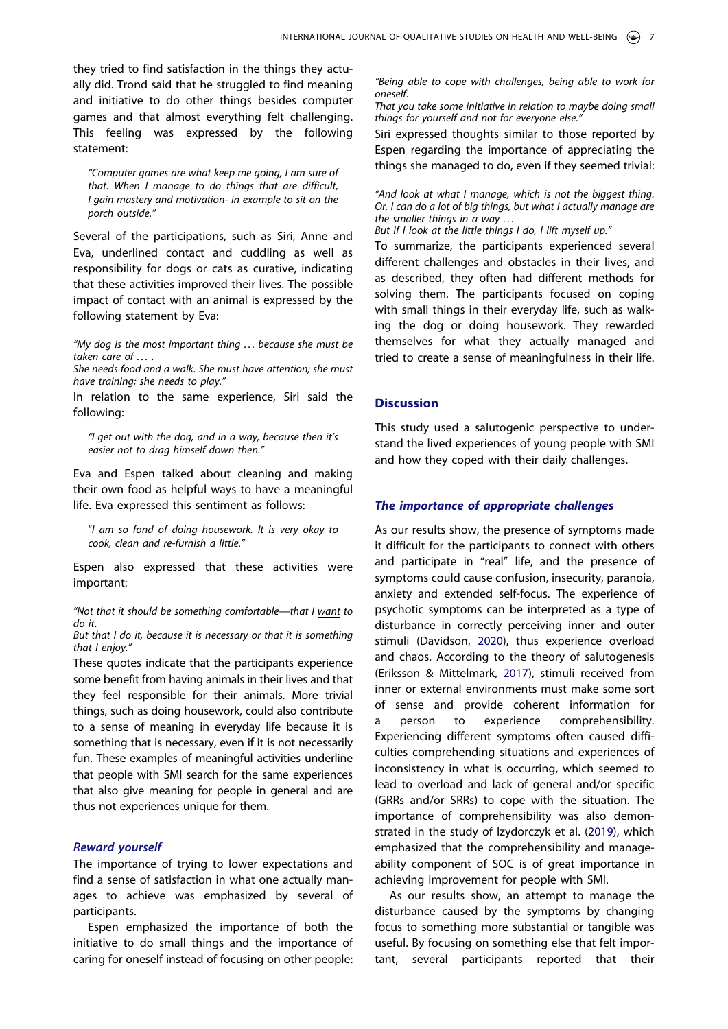they tried to find satisfaction in the things they actually did. Trond said that he struggled to find meaning and initiative to do other things besides computer games and that almost everything felt challenging. This feeling was expressed by the following statement:

*"Computer games are what keep me going, I am sure of that. When I manage to do things that are difficult, I gain mastery and motivation- in example to sit on the porch outside."* 

Several of the participations, such as Siri, Anne and Eva, underlined contact and cuddling as well as responsibility for dogs or cats as curative, indicating that these activities improved their lives. The possible impact of contact with an animal is expressed by the following statement by Eva:

*"My dog is the most important thing . . . because she must be taken care of . . .* .

*She needs food and a walk. She must have attention; she must have training; she needs to play."*

In relation to the same experience, Siri said the following:

*"I get out with the dog, and in a way, because then it's easier not to drag himself down then."* 

Eva and Espen talked about cleaning and making their own food as helpful ways to have a meaningful life. Eva expressed this sentiment as follows:

"*I am so fond of doing housework. It is very okay to cook, clean and re-furnish a little."* 

Espen also expressed that these activities were important:

*"Not that it should be something comfortable—that I want to do it*.

*But that I do it, because it is necessary or that it is something that I enjoy."*

These quotes indicate that the participants experience some benefit from having animals in their lives and that they feel responsible for their animals. More trivial things, such as doing housework, could also contribute to a sense of meaning in everyday life because it is something that is necessary, even if it is not necessarily fun. These examples of meaningful activities underline that people with SMI search for the same experiences that also give meaning for people in general and are thus not experiences unique for them.

# *Reward yourself*

The importance of trying to lower expectations and find a sense of satisfaction in what one actually manages to achieve was emphasized by several of participants.

Espen emphasized the importance of both the initiative to do small things and the importance of caring for oneself instead of focusing on other people:

*"Being able to cope with challenges, being able to work for oneself*.

*That you take some initiative in relation to maybe doing small things for yourself and not for everyone else."*

Siri expressed thoughts similar to those reported by Espen regarding the importance of appreciating the things she managed to do, even if they seemed trivial:

*"And look at what I manage, which is not the biggest thing. Or, I can do a lot of big things, but what I actually manage are the smaller things in a way . . .*

*But if I look at the little things I do, I lift myself up."*

To summarize, the participants experienced several different challenges and obstacles in their lives, and as described, they often had different methods for solving them. The participants focused on coping with small things in their everyday life, such as walking the dog or doing housework. They rewarded themselves for what they actually managed and tried to create a sense of meaningfulness in their life.

#### **Discussion**

This study used a salutogenic perspective to understand the lived experiences of young people with SMI and how they coped with their daily challenges.

#### *The importance of appropriate challenges*

As our results show, the presence of symptoms made it difficult for the participants to connect with others and participate in "real" life, and the presence of symptoms could cause confusion, insecurity, paranoia, anxiety and extended self-focus. The experience of psychotic symptoms can be interpreted as a type of disturbance in correctly perceiving inner and outer stimuli (Davidson, [2020](#page-10-0)), thus experience overload and chaos. According to the theory of salutogenesis (Eriksson & Mittelmark, [2017](#page-10-8)), stimuli received from inner or external environments must make some sort of sense and provide coherent information for a person to experience comprehensibility. Experiencing different symptoms often caused difficulties comprehending situations and experiences of inconsistency in what is occurring, which seemed to lead to overload and lack of general and/or specific (GRRs and/or SRRs) to cope with the situation. The importance of comprehensibility was also demonstrated in the study of Izydorczyk et al. [\(2019\)](#page-10-1), which emphasized that the comprehensibility and manageability component of SOC is of great importance in achieving improvement for people with SMI.

As our results show, an attempt to manage the disturbance caused by the symptoms by changing focus to something more substantial or tangible was useful. By focusing on something else that felt important, several participants reported that their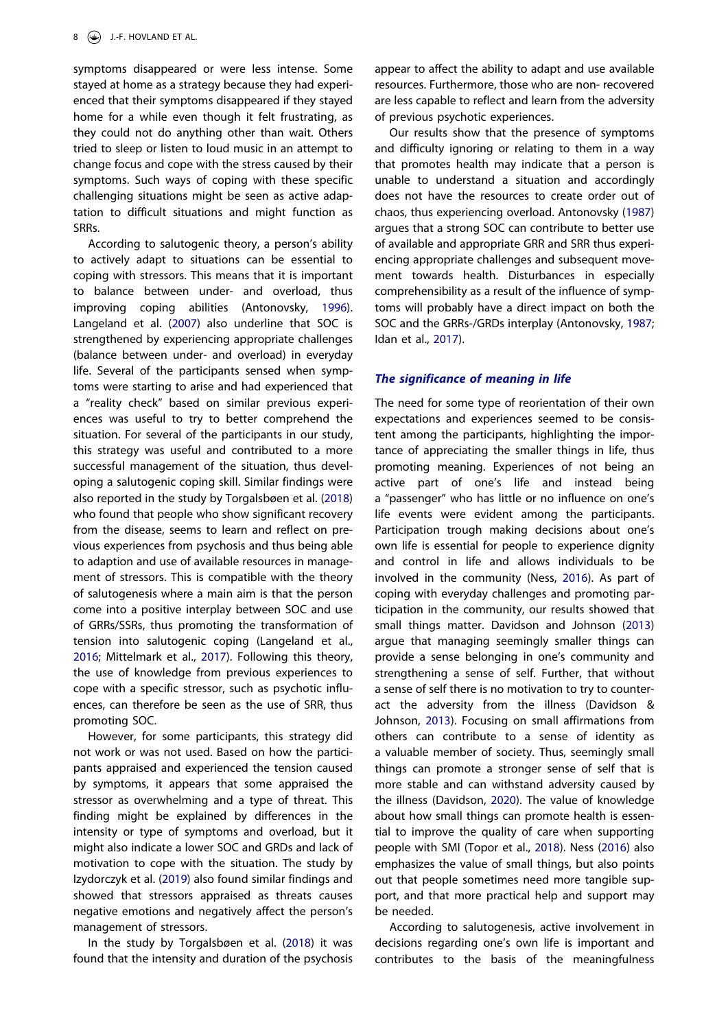symptoms disappeared or were less intense. Some stayed at home as a strategy because they had experienced that their symptoms disappeared if they stayed home for a while even though it felt frustrating, as they could not do anything other than wait. Others tried to sleep or listen to loud music in an attempt to change focus and cope with the stress caused by their symptoms. Such ways of coping with these specific challenging situations might be seen as active adaptation to difficult situations and might function as SRRs.

According to salutogenic theory, a person's ability to actively adapt to situations can be essential to coping with stressors. This means that it is important to balance between under- and overload, thus improving coping abilities (Antonovsky, [1996\)](#page-10-2). Langeland et al. ([2007](#page-10-9)) also underline that SOC is strengthened by experiencing appropriate challenges (balance between under- and overload) in everyday life. Several of the participants sensed when symptoms were starting to arise and had experienced that a "reality check" based on similar previous experiences was useful to try to better comprehend the situation. For several of the participants in our study, this strategy was useful and contributed to a more successful management of the situation, thus developing a salutogenic coping skill. Similar findings were also reported in the study by Torgalsbøen et al. [\(2018\)](#page-11-3) who found that people who show significant recovery from the disease, seems to learn and reflect on previous experiences from psychosis and thus being able to adaption and use of available resources in management of stressors. This is compatible with the theory of salutogenesis where a main aim is that the person come into a positive interplay between SOC and use of GRRs/SSRs, thus promoting the transformation of tension into salutogenic coping (Langeland et al., [2016;](#page-10-7) Mittelmark et al., [2017](#page-11-6)). Following this theory, the use of knowledge from previous experiences to cope with a specific stressor, such as psychotic influences, can therefore be seen as the use of SRR, thus promoting SOC.

However, for some participants, this strategy did not work or was not used. Based on how the participants appraised and experienced the tension caused by symptoms, it appears that some appraised the stressor as overwhelming and a type of threat. This finding might be explained by differences in the intensity or type of symptoms and overload, but it might also indicate a lower SOC and GRDs and lack of motivation to cope with the situation. The study by Izydorczyk et al. ([2019](#page-10-1)) also found similar findings and showed that stressors appraised as threats causes negative emotions and negatively affect the person's management of stressors.

In the study by Torgalsbøen et al. ([2018](#page-11-3)) it was found that the intensity and duration of the psychosis

appear to affect the ability to adapt and use available resources. Furthermore, those who are non- recovered are less capable to reflect and learn from the adversity of previous psychotic experiences.

Our results show that the presence of symptoms and difficulty ignoring or relating to them in a way that promotes health may indicate that a person is unable to understand a situation and accordingly does not have the resources to create order out of chaos, thus experiencing overload. Antonovsky ([1987](#page-10-6)) argues that a strong SOC can contribute to better use of available and appropriate GRR and SRR thus experiencing appropriate challenges and subsequent movement towards health. Disturbances in especially comprehensibility as a result of the influence of symptoms will probably have a direct impact on both the SOC and the GRRs-/GRDs interplay (Antonovsky, [1987](#page-10-6); Idan et al., [2017](#page-10-10)).

#### *The significance of meaning in life*

The need for some type of reorientation of their own expectations and experiences seemed to be consistent among the participants, highlighting the importance of appreciating the smaller things in life, thus promoting meaning. Experiences of not being an active part of one's life and instead being a "passenger" who has little or no influence on one's life events were evident among the participants. Participation trough making decisions about one's own life is essential for people to experience dignity and control in life and allows individuals to be involved in the community (Ness, [2016\)](#page-11-10). As part of coping with everyday challenges and promoting participation in the community, our results showed that small things matter. Davidson and Johnson ([2013](#page-10-17)) argue that managing seemingly smaller things can provide a sense belonging in one's community and strengthening a sense of self. Further, that without a sense of self there is no motivation to try to counteract the adversity from the illness (Davidson & Johnson, [2013\)](#page-10-17). Focusing on small affirmations from others can contribute to a sense of identity as a valuable member of society. Thus, seemingly small things can promote a stronger sense of self that is more stable and can withstand adversity caused by the illness (Davidson, [2020](#page-10-0)). The value of knowledge about how small things can promote health is essential to improve the quality of care when supporting people with SMI (Topor et al., [2018\)](#page-11-11). Ness ([2016](#page-11-10)) also emphasizes the value of small things, but also points out that people sometimes need more tangible support, and that more practical help and support may be needed.

<span id="page-8-1"></span><span id="page-8-0"></span>According to salutogenesis, active involvement in decisions regarding one's own life is important and contributes to the basis of the meaningfulness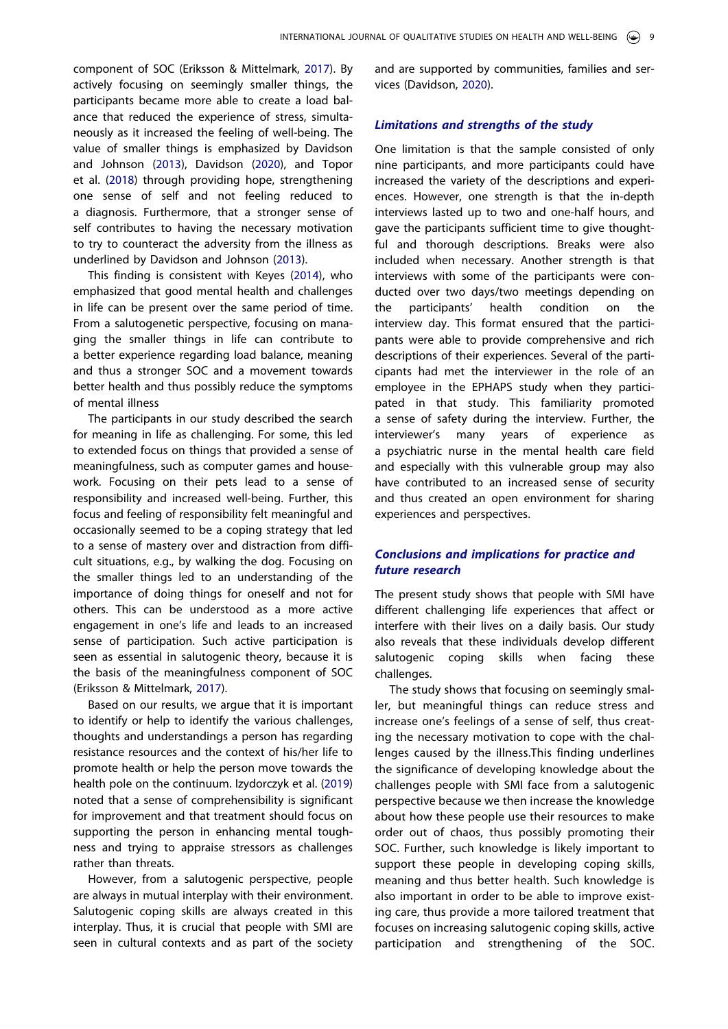component of SOC (Eriksson & Mittelmark, [2017\)](#page-10-8). By actively focusing on seemingly smaller things, the participants became more able to create a load balance that reduced the experience of stress, simultaneously as it increased the feeling of well-being. The value of smaller things is emphasized by Davidson and Johnson ([2013](#page-10-17)), Davidson ([2020](#page-10-0)), and Topor et al. [\(2018\)](#page-11-11) through providing hope, strengthening one sense of self and not feeling reduced to a diagnosis. Furthermore, that a stronger sense of self contributes to having the necessary motivation to try to counteract the adversity from the illness as underlined by Davidson and Johnson [\(2013\)](#page-10-17).

This finding is consistent with Keyes [\(2014\)](#page-10-18), who emphasized that good mental health and challenges in life can be present over the same period of time. From a salutogenetic perspective, focusing on managing the smaller things in life can contribute to a better experience regarding load balance, meaning and thus a stronger SOC and a movement towards better health and thus possibly reduce the symptoms of mental illness

The participants in our study described the search for meaning in life as challenging. For some, this led to extended focus on things that provided a sense of meaningfulness, such as computer games and housework. Focusing on their pets lead to a sense of responsibility and increased well-being. Further, this focus and feeling of responsibility felt meaningful and occasionally seemed to be a coping strategy that led to a sense of mastery over and distraction from difficult situations, e.g., by walking the dog. Focusing on the smaller things led to an understanding of the importance of doing things for oneself and not for others. This can be understood as a more active engagement in one's life and leads to an increased sense of participation. Such active participation is seen as essential in salutogenic theory, because it is the basis of the meaningfulness component of SOC (Eriksson & Mittelmark, [2017](#page-10-8)).

Based on our results, we argue that it is important to identify or help to identify the various challenges, thoughts and understandings a person has regarding resistance resources and the context of his/her life to promote health or help the person move towards the health pole on the continuum. Izydorczyk et al. [\(2019\)](#page-10-1) noted that a sense of comprehensibility is significant for improvement and that treatment should focus on supporting the person in enhancing mental toughness and trying to appraise stressors as challenges rather than threats.

However, from a salutogenic perspective, people are always in mutual interplay with their environment. Salutogenic coping skills are always created in this interplay. Thus, it is crucial that people with SMI are seen in cultural contexts and as part of the society and are supported by communities, families and services (Davidson, [2020\)](#page-10-0).

# *Limitations and strengths of the study*

One limitation is that the sample consisted of only nine participants, and more participants could have increased the variety of the descriptions and experiences. However, one strength is that the in-depth interviews lasted up to two and one-half hours, and gave the participants sufficient time to give thoughtful and thorough descriptions. Breaks were also included when necessary. Another strength is that interviews with some of the participants were conducted over two days/two meetings depending on the participants' health condition on the interview day. This format ensured that the participants were able to provide comprehensive and rich descriptions of their experiences. Several of the participants had met the interviewer in the role of an employee in the EPHAPS study when they participated in that study. This familiarity promoted a sense of safety during the interview. Further, the interviewer's many years of experience as a psychiatric nurse in the mental health care field and especially with this vulnerable group may also have contributed to an increased sense of security and thus created an open environment for sharing experiences and perspectives.

# *Conclusions and implications for practice and future research*

The present study shows that people with SMI have different challenging life experiences that affect or interfere with their lives on a daily basis. Our study also reveals that these individuals develop different salutogenic coping skills when facing these challenges.

The study shows that focusing on seemingly smaller, but meaningful things can reduce stress and increase one's feelings of a sense of self, thus creating the necessary motivation to cope with the challenges caused by the illness.This finding underlines the significance of developing knowledge about the challenges people with SMI face from a salutogenic perspective because we then increase the knowledge about how these people use their resources to make order out of chaos, thus possibly promoting their SOC. Further, such knowledge is likely important to support these people in developing coping skills, meaning and thus better health. Such knowledge is also important in order to be able to improve existing care, thus provide a more tailored treatment that focuses on increasing salutogenic coping skills, active participation and strengthening of the SOC.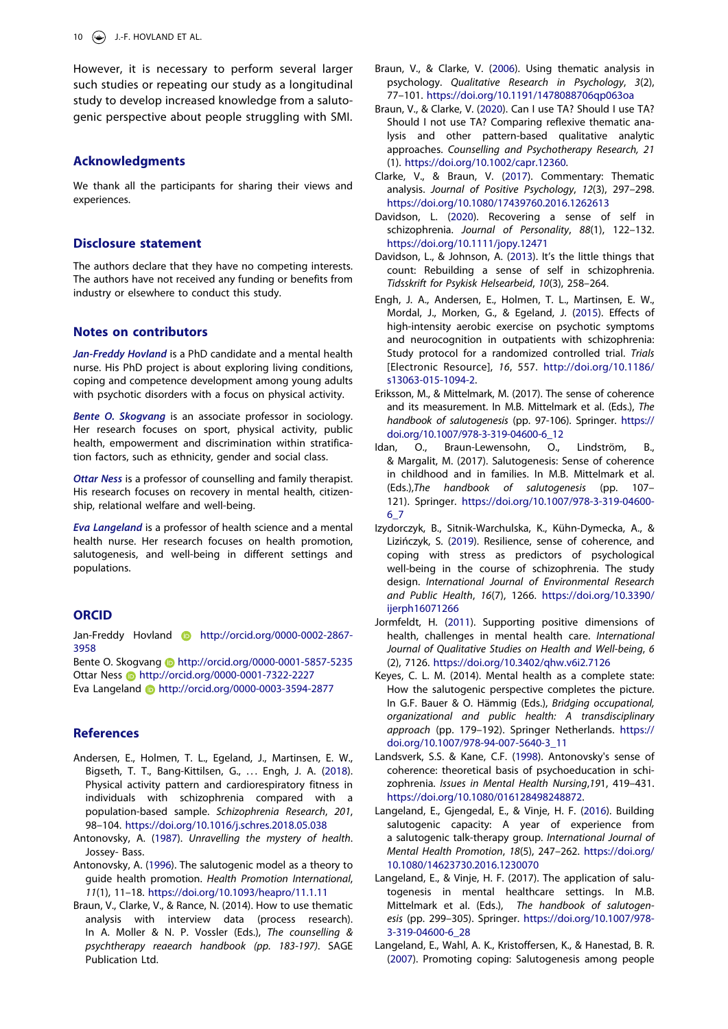10  $\left(\frac{1}{2}\right)$  J.-F. HOVLAND ET AL.

However, it is necessary to perform several larger such studies or repeating our study as a longitudinal study to develop increased knowledge from a salutogenic perspective about people struggling with SMI.

#### **Acknowledgments**

We thank all the participants for sharing their views and experiences.

#### **Disclosure statement**

The authors declare that they have no competing interests. The authors have not received any funding or benefits from industry or elsewhere to conduct this study.

#### **Notes on contributors**

*Jan-Freddy Hovland* is a PhD candidate and a mental health nurse. His PhD project is about exploring living conditions, coping and competence development among young adults with psychotic disorders with a focus on physical activity.

*Bente O. Skogvang* is an associate professor in sociology. Her research focuses on sport, physical activity, public health, empowerment and discrimination within stratification factors, such as ethnicity, gender and social class.

*Ottar Ness* is a professor of counselling and family therapist. His research focuses on recovery in mental health, citizenship, relational welfare and well-being.

*Eva Langeland* is a professor of health science and a mental health nurse. Her research focuses on health promotion, salutogenesis, and well-being in different settings and populations.

# **ORCID**

Jan-Freddy Hovland **b** http://orcid.org/0000-0002-2867-3958

Bente O. Skogvang **b** http://orcid.org/0000-0001-5857-5235 Ottar Ness **b** http://orcid.org/0000-0001-7322-2227 Eva Langeland http://orcid.org/0000-0003-3594-2877

#### **References**

- <span id="page-10-15"></span>Andersen, E., Holmen, T. L., Egeland, J., Martinsen, E. W., Bigseth, T. T., Bang-Kittilsen, G., ... Engh, J. A. ([2018](#page-3-0)). Physical activity pattern and cardiorespiratory fitness in individuals with schizophrenia compared with a population-based sample. *Schizophrenia Research*, *201*, 98–104. <https://doi.org/10.1016/j.schres.2018.05.038>
- <span id="page-10-6"></span>Antonovsky, A. [\(1987\)](#page-2-0). *Unravelling the mystery of health*. Jossey- Bass.
- <span id="page-10-2"></span>Antonovsky, A. ([1996](#page-2-1)). The salutogenic model as a theory to guide health promotion. *Health Promotion International*, *11*(1), 11–18. <https://doi.org/10.1093/heapro/11.1.11>
- <span id="page-10-12"></span>Braun, V., Clarke, V., & Rance, N. (2014). How to use thematic analysis with interview data (process research). In A. Moller & N. P. Vossler (Eds.), *The counselling & psychtherapy reaearch handbook (pp. 183-197)*. SAGE Publication Ltd.
- <span id="page-10-11"></span>Braun, V., & Clarke, V. ([2006](#page-3-1)). Using thematic analysis in psychology. *Qualitative Research in Psychology*, *3*(2), 77–101. <https://doi.org/10.1191/1478088706qp063oa>
- <span id="page-10-14"></span>Braun, V., & Clarke, V. ([2020](#page-3-2)). Can I use TA? Should I use TA? Should I not use TA? Comparing reflexive thematic analysis and other pattern-based qualitative analytic approaches. *Counselling and Psychotherapy Research, 21*  (1). [https://doi.org/10.1002/capr.12360.](https://doi.org/10.1002/capr.12360)
- <span id="page-10-13"></span>Clarke, V., & Braun, V. [\(2017](#page-3-3)). Commentary: Thematic analysis. *Journal of Positive Psychology*, *12*(3), 297–298. <https://doi.org/10.1080/17439760.2016.1262613>
- <span id="page-10-0"></span>Davidson, L. ([2020](#page-1-3)). Recovering a sense of self in schizophrenia. *Journal of Personality*, *88*(1), 122–132. <https://doi.org/10.1111/jopy.12471>
- <span id="page-10-17"></span>Davidson, L., & Johnson, A. [\(2013\)](#page-8-0). It's the little things that count: Rebuilding a sense of self in schizophrenia. *Tidsskrift for Psykisk Helsearbeid*, *10*(3), 258–264.
- <span id="page-10-16"></span>Engh, J. A., Andersen, E., Holmen, T. L., Martinsen, E. W., Mordal, J., Morken, G., & Egeland, J. ([2015](#page-3-0)). Effects of high-intensity aerobic exercise on psychotic symptoms and neurocognition in outpatients with schizophrenia: Study protocol for a randomized controlled trial. *Trials*  [Electronic Resource], *16*, 557. [http://doi.org/10.1186/](http://doi.org/10.1186/s13063-015-1094-2) [s13063-015-1094-2.](http://doi.org/10.1186/s13063-015-1094-2)
- <span id="page-10-8"></span>Eriksson, M., & Mittelmark, M. (2017). The sense of coherence and its measurement. In M.B. Mittelmark et al. (Eds.), *The handbook of salutogenesis* (pp. 97-106). Springer. [https://](https://doi.org/10.1007/978-3-319-04600-6_12) [doi.org/10.1007/978-3-319-04600-6\\_12](https://doi.org/10.1007/978-3-319-04600-6_12)
- <span id="page-10-10"></span>Idan, O., Braun-Lewensohn, O., Lindström, B., & Margalit, M. (2017). Salutogenesis: Sense of coherence in childhood and in families. In M.B. Mittelmark et al. (Eds.),*The handbook of salutogenesis* (pp. 107– 121). Springer. [https://doi.org/10.1007/978-3-319-04600-](https://doi.org/10.1007/978-3-319-04600-6_7) [6\\_7](https://doi.org/10.1007/978-3-319-04600-6_7)
- <span id="page-10-1"></span>Izydorczyk, B., Sitnik-Warchulska, K., Kühn-Dymecka, A., & Lizińczyk, S. ([2019](#page-1-4)). Resilience, sense of coherence, and coping with stress as predictors of psychological well-being in the course of schizophrenia. The study design. *International Journal of Environmental Research and Public Health*, *16*(7), 1266. [https://doi.org/10.3390/](https://doi.org/10.3390/ijerph16071266) [ijerph16071266](https://doi.org/10.3390/ijerph16071266)
- <span id="page-10-4"></span>Jormfeldt, H. [\(2011\)](#page-2-2). Supporting positive dimensions of health, challenges in mental health care. *International Journal of Qualitative Studies on Health and Well-being*, *6*  (2), 7126. <https://doi.org/10.3402/qhw.v6i2.7126>
- <span id="page-10-18"></span>Keyes, C. L. M. (2014). Mental health as a complete state: How the salutogenic perspective completes the picture. In G.F. Bauer & O. Hämmig (Eds.), *Bridging occupational, organizational and public health: A transdisciplinary approach* (pp. 179–192). Springer Netherlands. [https://](https://doi.org/10.1007/978-94-007-5640-3_11) [doi.org/10.1007/978-94-007-5640-3\\_11](https://doi.org/10.1007/978-94-007-5640-3_11)
- <span id="page-10-3"></span>Landsverk, S.S. & Kane, C.F. ([1998\)](#page-2-3). Antonovsky's sense of coherence: theoretical basis of psychoeducation in schizophrenia. *Issues in Mental Health Nursing*,*19*1, 419–431. [https://doi.org/10.1080/016128498248872](https://doi.org/10.1080/14623730.2016.1230070).
- <span id="page-10-7"></span>Langeland, E., Gjengedal, E., & Vinje, H. F. [\(2016\)](#page-2-4). Building salutogenic capacity: A year of experience from a salutogenic talk-therapy group. *International Journal of Mental Health Promotion*, *18*(5), 247–262. [https://doi.org/](https://doi.org/10.1080/14623730.2016.1230070) [10.1080/14623730.2016.1230070](https://doi.org/10.1080/14623730.2016.1230070)
- <span id="page-10-5"></span>Langeland, E., & Vinje, H. F. (2017). The application of salutogenesis in mental healthcare settings. In M.B. Mittelmark et al. (Eds.), *The handbook of salutogenesis* (pp. 299–305). Springer. [https://doi.org/10.1007/978-](https://doi.org/10.1007/978-3-319-04600-6_28) [3-319-04600-6\\_28](https://doi.org/10.1007/978-3-319-04600-6_28)
- <span id="page-10-9"></span>Langeland, E., Wahl, A. K., Kristoffersen, K., & Hanestad, B. R. [\(2007\)](#page-2-5). Promoting coping: Salutogenesis among people